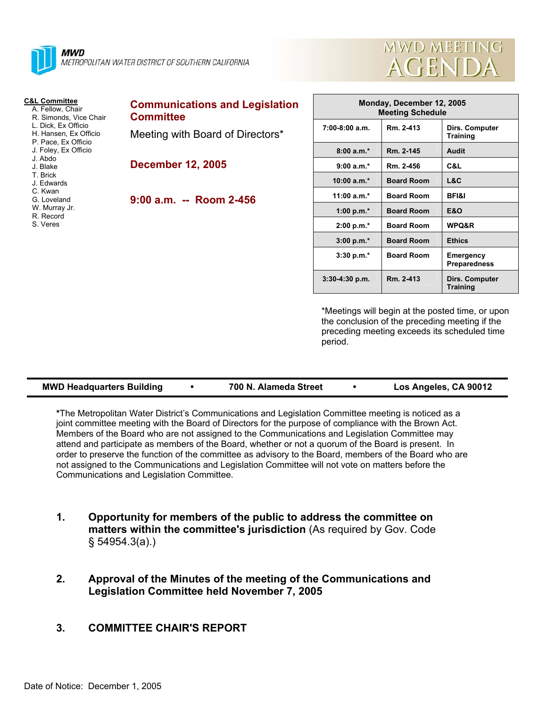



| <b>C&amp;L Committee</b><br>A. Fellow, Chair<br>R. Simonds, Vice Chair<br>L. Dick. Ex Officio                    | <b>Communications and Legislation</b><br><b>Committee</b> |
|------------------------------------------------------------------------------------------------------------------|-----------------------------------------------------------|
| H. Hansen, Ex Officio<br>P. Pace, Ex Officio<br>J. Foley, Ex Officio                                             | Meeting with Board of Directors*                          |
| d Ahdo<br>J. Blake<br>T. Brick<br>J. Edwards<br>C. Kwan<br>G. Loveland<br>W. Murray Jr.<br>R. Record<br>S. Veres | <b>December 12, 2005</b>                                  |
|                                                                                                                  | 9:00 a.m. -- Room 2-456                                   |
|                                                                                                                  |                                                           |

| Monday, December 12, 2005<br><b>Meeting Schedule</b> |                   |                                   |  |
|------------------------------------------------------|-------------------|-----------------------------------|--|
| $7:00-8:00$ a.m.                                     | Rm. 2-413         | Dirs. Computer<br><b>Training</b> |  |
| $8:00a.m.*$                                          | Rm 2-145          | <b>Audit</b>                      |  |
| $9:00 a.m.*$                                         | Rm. 2-456         | C&L                               |  |
| $10:00 a.m.*$                                        | <b>Board Room</b> | L&C                               |  |
| 11:00 a.m. $*$                                       | <b>Board Room</b> | <b>BFI&amp;I</b>                  |  |
| 1:00 p.m. $*$                                        | <b>Board Room</b> | E&O                               |  |
| $2:00 p.m.*$                                         | <b>Board Room</b> | <b>WPQ&amp;R</b>                  |  |
| $3:00 p.m.*$                                         | <b>Board Room</b> | <b>Ethics</b>                     |  |
| $3:30 p.m.*$                                         | <b>Board Room</b> | Emergency<br><b>Preparedness</b>  |  |
| $3:30-4:30$ p.m.                                     | Rm. 2-413         | Dirs. Computer<br><b>Training</b> |  |

\*Meetings will begin at the posted time, or upon the conclusion of the preceding meeting if the preceding meeting exceeds its scheduled time period.

| 700 N. Alameda Street<br><b>MWD Headquarters Building</b> | Los Angeles, CA 90012 |
|-----------------------------------------------------------|-----------------------|
|-----------------------------------------------------------|-----------------------|

**\***The Metropolitan Water District's Communications and Legislation Committee meeting is noticed as a joint committee meeting with the Board of Directors for the purpose of compliance with the Brown Act. Members of the Board who are not assigned to the Communications and Legislation Committee may attend and participate as members of the Board, whether or not a quorum of the Board is present. In order to preserve the function of the committee as advisory to the Board, members of the Board who are not assigned to the Communications and Legislation Committee will not vote on matters before the Communications and Legislation Committee.

- **1. Opportunity for members of the public to address the committee on matters within the committee's jurisdiction** (As required by Gov. Code § 54954.3(a).)
- **2. Approval of the Minutes of the meeting of the Communications and Legislation Committee held November 7, 2005**
- **3. COMMITTEE CHAIR'S REPORT**